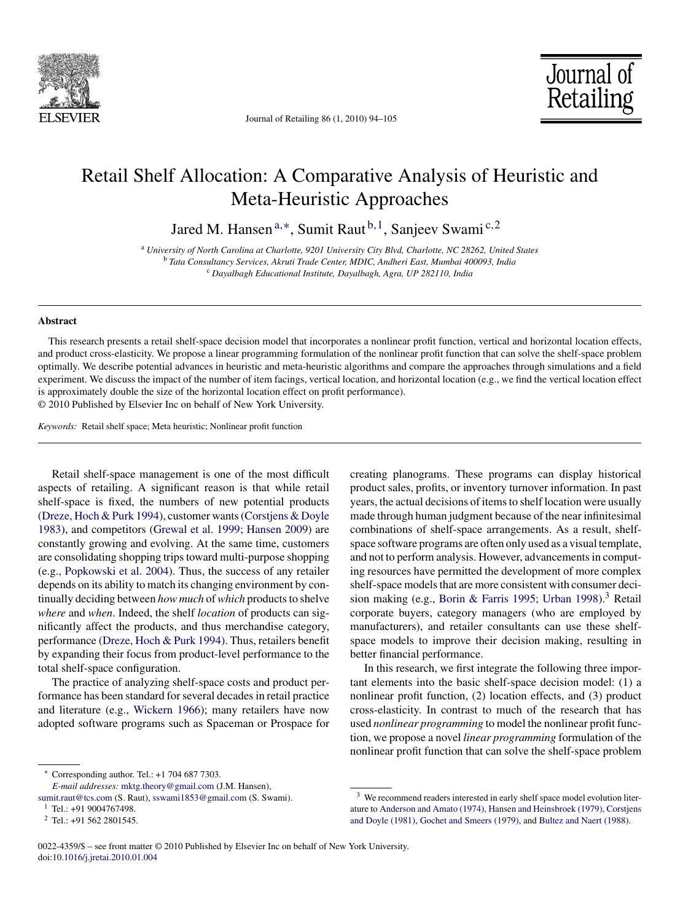

Journal of Retailing 86 (1, 2010) 94–105

Journal of Retailing

## Retail Shelf Allocation: A Comparative Analysis of Heuristic and Meta-Heuristic Approaches

Jared M. Hansen <sup>a</sup>*,*∗, Sumit Raut <sup>b</sup>*,*1, Sanjeev Swami <sup>c</sup>*,*<sup>2</sup>

<sup>a</sup> *University of North Carolina at Charlotte, 9201 University City Blvd, Charlotte, NC 28262, United States* <sup>b</sup> *Tata Consultancy Services, Akruti Trade Center, MDIC, Andheri East, Mumbai 400093, India* <sup>c</sup> *Dayalbagh Educational Institute, Dayalbagh, Agra, UP 282110, India*

#### **Abstract**

This research presents a retail shelf-space decision model that incorporates a nonlinear profit function, vertical and horizontal location effects, and product cross-elasticity. We propose a linear programming formulation of the nonlinear profit function that can solve the shelf-space problem optimally. We describe potential advances in heuristic and meta-heuristic algorithms and compare the approaches through simulations and a field experiment. We discuss the impact of the number of item facings, vertical location, and horizontal location (e.g., we find the vertical location effect is approximately double the size of the horizontal location effect on profit performance). © 2010 Published by Elsevier Inc on behalf of New York University.

*Keywords:* Retail shelf space; Meta heuristic; Nonlinear profit function

Retail shelf-space management is one of the most difficult aspects of retailing. A significant reason is that while retail shelf-space is fixed, the numbers of new potential products [\(Dreze, Hoch & Purk 1994\),](#page--1-0) customer wants ([Corstjens & Doyle](#page--1-0) [1983\),](#page--1-0) and competitors [\(Grewal et al. 1999; Hansen 2009\)](#page--1-0) are constantly growing and evolving. At the same time, customers are consolidating shopping trips toward multi-purpose shopping (e.g., [Popkowski et al. 2004\).](#page--1-0) Thus, the success of any retailer depends on its ability to match its changing environment by continually deciding between *how much* of *which* products to shelve *where* and *when*. Indeed, the shelf *location* of products can significantly affect the products, and thus merchandise category, performance [\(Dreze, Hoch & Purk 1994\).](#page--1-0) Thus, retailers benefit by expanding their focus from product-level performance to the total shelf-space configuration.

The practice of analyzing shelf-space costs and product performance has been standard for several decades in retail practice and literature (e.g., [Wickern 1966\);](#page--1-0) many retailers have now adopted software programs such as Spaceman or Prospace for

<sup>∗</sup> Corresponding author. Tel.: +1 704 687 7303. *E-mail addresses:* [mktg.theory@gmail.com](mailto:mktg.theory@gmail.com) (J.M. Hansen),

[sumit.raut@tcs.com](mailto:sumit.raut@tcs.com) (S. Raut), [sswami1853@gmail.com](mailto:sswami1853@gmail.com) (S. Swami). <sup>1</sup> Tel.: +91 9004767498.

creating planograms. These programs can display historical product sales, profits, or inventory turnover information. In past years, the actual decisions of items to shelf location were usually made through human judgment because of the near infinitesimal combinations of shelf-space arrangements. As a result, shelfspace software programs are often only used as a visual template, and not to perform analysis. However, advancements in computing resources have permitted the development of more complex shelf-space models that are more consistent with consumer deci-sion making (e.g., [Borin & Farris 1995; Urban 1998\).](#page--1-0)<sup>3</sup> Retail corporate buyers, category managers (who are employed by manufacturers), and retailer consultants can use these shelfspace models to improve their decision making, resulting in better financial performance.

In this research, we first integrate the following three important elements into the basic shelf-space decision model: (1) a nonlinear profit function, (2) location effects, and (3) product cross-elasticity. In contrast to much of the research that has used *nonlinear programming* to model the nonlinear profit function, we propose a novel *linear programming* formulation of the nonlinear profit function that can solve the shelf-space problem

<sup>2</sup> Tel.: +91 562 2801545.

<sup>&</sup>lt;sup>3</sup> We recommend readers interested in early shelf space model evolution literature to [Anderson and Amato \(1974\),](#page--1-0) [Hansen and Heinsbroek \(1979\),](#page--1-0) [Corstjens](#page--1-0) [and Doyle \(1981\),](#page--1-0) [Gochet and Smeers \(1979\), a](#page--1-0)nd [Bultez and Naert \(1988\).](#page--1-0)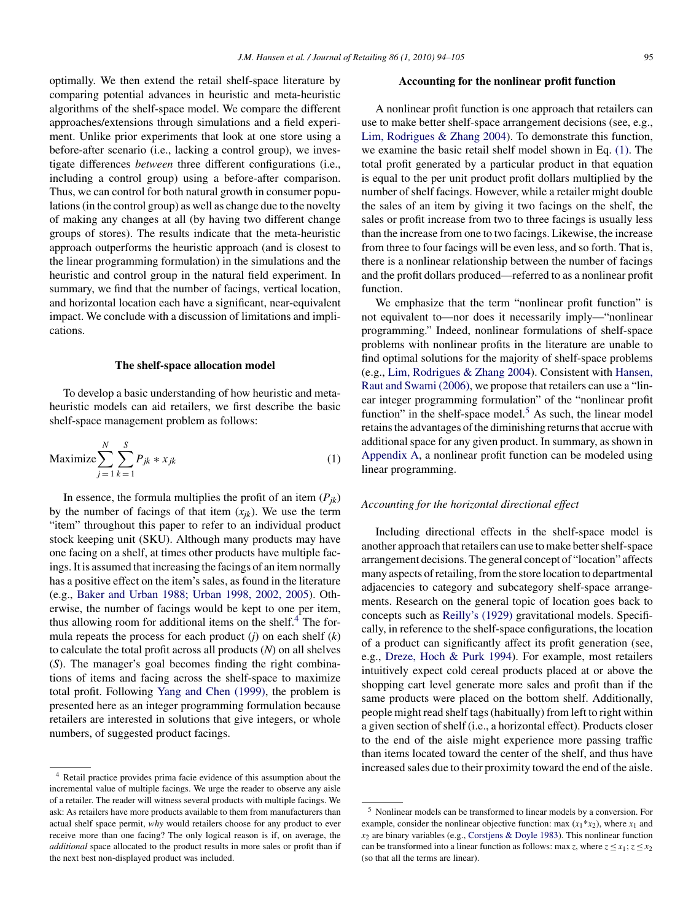optimally. We then extend the retail shelf-space literature by comparing potential advances in heuristic and meta-heuristic algorithms of the shelf-space model. We compare the different approaches/extensions through simulations and a field experiment. Unlike prior experiments that look at one store using a before-after scenario (i.e., lacking a control group), we investigate differences *between* three different configurations (i.e., including a control group) using a before-after comparison. Thus, we can control for both natural growth in consumer populations (in the control group) as well as change due to the novelty of making any changes at all (by having two different change groups of stores). The results indicate that the meta-heuristic approach outperforms the heuristic approach (and is closest to the linear programming formulation) in the simulations and the heuristic and control group in the natural field experiment. In summary, we find that the number of facings, vertical location, and horizontal location each have a significant, near-equivalent impact. We conclude with a discussion of limitations and implications.

### **The shelf-space allocation model**

To develop a basic understanding of how heuristic and metaheuristic models can aid retailers, we first describe the basic shelf-space management problem as follows:

$$
\text{Maximize} \sum_{j=1}^{N} \sum_{k=1}^{S} P_{jk} * x_{jk} \tag{1}
$$

In essence, the formula multiplies the profit of an item  $(P_{ik})$ by the number of facings of that item (*xjk*). We use the term "item" throughout this paper to refer to an individual product stock keeping unit (SKU). Although many products may have one facing on a shelf, at times other products have multiple facings. It is assumed that increasing the facings of an item normally has a positive effect on the item's sales, as found in the literature (e.g., [Baker and Urban 1988; Urban 1998, 2002, 2005\).](#page--1-0) Otherwise, the number of facings would be kept to one per item, thus allowing room for additional items on the shelf. $4$  The formula repeats the process for each product (*j*) on each shelf (*k*) to calculate the total profit across all products (*N*) on all shelves (*S*). The manager's goal becomes finding the right combinations of items and facing across the shelf-space to maximize total profit. Following [Yang and Chen \(1999\),](#page--1-0) the problem is presented here as an integer programming formulation because retailers are interested in solutions that give integers, or whole numbers, of suggested product facings.

#### **Accounting for the nonlinear profit function**

A nonlinear profit function is one approach that retailers can use to make better shelf-space arrangement decisions (see, e.g., [Lim, Rodrigues & Zhang 2004\).](#page--1-0) To demonstrate this function, we examine the basic retail shelf model shown in Eq. (1). The total profit generated by a particular product in that equation is equal to the per unit product profit dollars multiplied by the number of shelf facings. However, while a retailer might double the sales of an item by giving it two facings on the shelf, the sales or profit increase from two to three facings is usually less than the increase from one to two facings. Likewise, the increase from three to four facings will be even less, and so forth. That is, there is a nonlinear relationship between the number of facings and the profit dollars produced—referred to as a nonlinear profit function.

We emphasize that the term "nonlinear profit function" is not equivalent to—nor does it necessarily imply—"nonlinear programming." Indeed, nonlinear formulations of shelf-space problems with nonlinear profits in the literature are unable to find optimal solutions for the majority of shelf-space problems (e.g., [Lim, Rodrigues & Zhang 2004\).](#page--1-0) Consistent with [Hansen,](#page--1-0) [Raut and Swami \(2006\), w](#page--1-0)e propose that retailers can use a "linear integer programming formulation" of the "nonlinear profit function" in the shelf-space model.<sup>5</sup> As such, the linear model retains the advantages of the diminishing returns that accrue with additional space for any given product. In summary, as shown in [Appendix A,](#page--1-0) a nonlinear profit function can be modeled using linear programming.

## *Accounting for the horizontal directional effect*

Including directional effects in the shelf-space model is another approach that retailers can use to make better shelf-space arrangement decisions. The general concept of "location" affects many aspects of retailing, from the store location to departmental adjacencies to category and subcategory shelf-space arrangements. Research on the general topic of location goes back to concepts such as [Reilly's \(1929\)](#page--1-0) gravitational models. Specifically, in reference to the shelf-space configurations, the location of a product can significantly affect its profit generation (see, e.g., [Dreze, Hoch & Purk 1994\).](#page--1-0) For example, most retailers intuitively expect cold cereal products placed at or above the shopping cart level generate more sales and profit than if the same products were placed on the bottom shelf. Additionally, people might read shelf tags (habitually) from left to right within a given section of shelf (i.e., a horizontal effect). Products closer to the end of the aisle might experience more passing traffic than items located toward the center of the shelf, and thus have increased sales due to their proximity toward the end of the aisle.

<sup>4</sup> Retail practice provides prima facie evidence of this assumption about the incremental value of multiple facings. We urge the reader to observe any aisle of a retailer. The reader will witness several products with multiple facings. We ask: As retailers have more products available to them from manufacturers than actual shelf space permit, *why* would retailers choose for any product to ever receive more than one facing? The only logical reason is if, on average, the *additional* space allocated to the product results in more sales or profit than if the next best non-displayed product was included.

<sup>5</sup> Nonlinear models can be transformed to linear models by a conversion. For example, consider the nonlinear objective function: max  $(x_1 * x_2)$ , where  $x_1$  and  $x_2$  are binary variables (e.g., Corstiens & Doyle 1983). This nonlinear function can be transformed into a linear function as follows: max *z*, where  $z \leq x_1$ ;  $z \leq x_2$ (so that all the terms are linear).